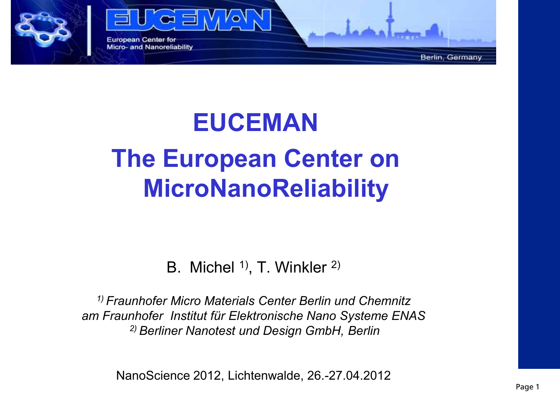

# **EUCEMAN The European Center on MicroNanoReliability**

B. Michel <sup>1)</sup>, T. Winkler <sup>2)</sup>

*1) Fraunhofer Micro Materials Center Berlin und Chemnitz am Fraunhofer Institut für Elektronische Nano Systeme ENAS 2) Berliner Nanotest und Design GmbH, Berlin* 

NanoScience 2012, Lichtenwalde, 26.-27.04.2012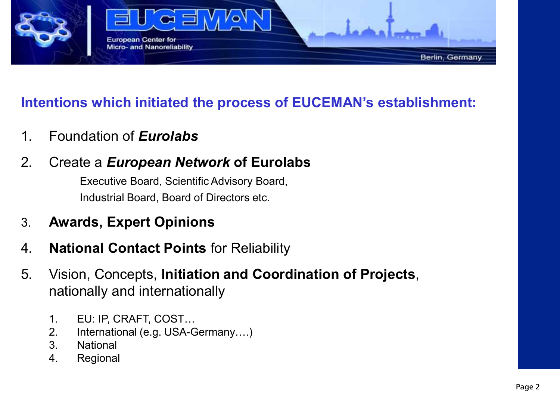

#### **Intentions which initiated the process of EUCEMAN's establishment:**

- 1. Foundation of *Eurolabs*
- 2. Create a *European Network* **of Eurolabs**

 Executive Board, Scientific Advisory Board, Industrial Board, Board of Directors etc.

- 3. **Awards, Expert Opinions**
- 4. **National Contact Points** for Reliability
- 5. Vision, Concepts, **Initiation and Coordination of Projects**, nationally and internationally
	- 1. EU: IP, CRAFT, COST…
	- 2. International (e.g. USA-Germany….)
	- 3. National
	- 4. Regional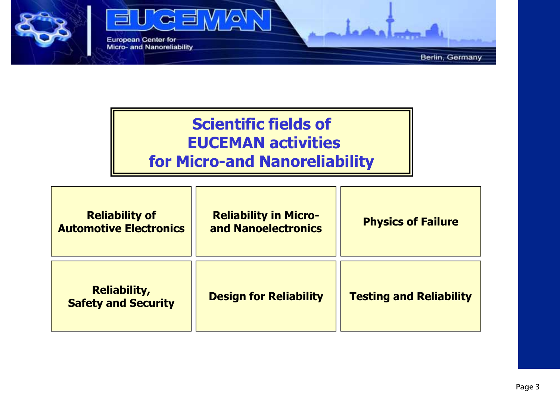

#### **Scientific fields of EUCEMAN activities for Micro-and Nanoreliability**

| <b>Reliability of</b><br><b>Automotive Electronics</b> | <b>Reliability in Micro-</b><br>and Nanoelectronics | <b>Physics of Failure</b>      |
|--------------------------------------------------------|-----------------------------------------------------|--------------------------------|
| <b>Reliability,</b><br><b>Safety and Security</b>      | <b>Design for Reliability</b>                       | <b>Testing and Reliability</b> |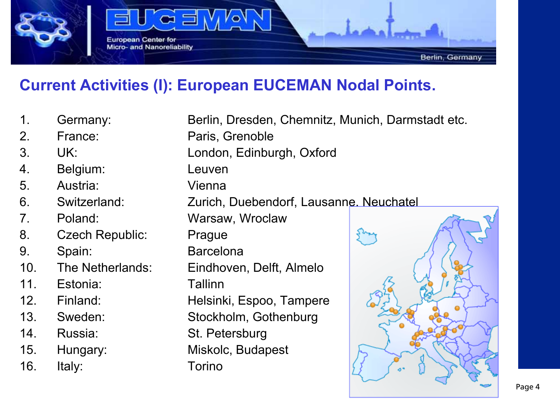

#### **Current Activities (I): European EUCEMAN Nodal Points.**

- 1. Germany: Berlin, Dresden, Chemnitz, Munich, Darmstadt etc.
- 
- 
- 4. Belgium: Leuven
- 5. Austria: Vienna
- 
- 
- 8. Czech Republic: Prague
- 
- 
- 11. Estonia: Tallinn
- 
- 
- 
- 
- 16. Italy: Torino

2. France: Paris, Grenoble 3. UK: London, Edinburgh, Oxford 6. Switzerland: Zurich, Duebendorf, Lausanne, Neuchatel 7. Poland: Warsaw, Wroclaw 9. Spain: Barcelona 10. The Netherlands: Eindhoven, Delft, Almelo 12. Finland: Helsinki, Espoo, Tampere 13. Sweden: Stockholm, Gothenburg 14. Russia: St. Petersburg 15. Hungary: Miskolc, Budapest

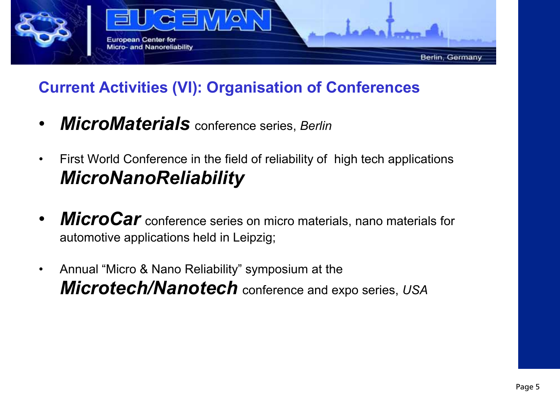

#### **Current Activities (VI): Organisation of Conferences**

- *MicroMaterials* conference series, *Berlin*
- First World Conference in the field of reliability of high tech applications *MicroNanoReliability*
- **MicroCar** conference series on micro materials, nano materials for automotive applications held in Leipzig;
- Annual "Micro & Nano Reliability" symposium at the *Microtech/Nanotech* conference and expo series, *USA*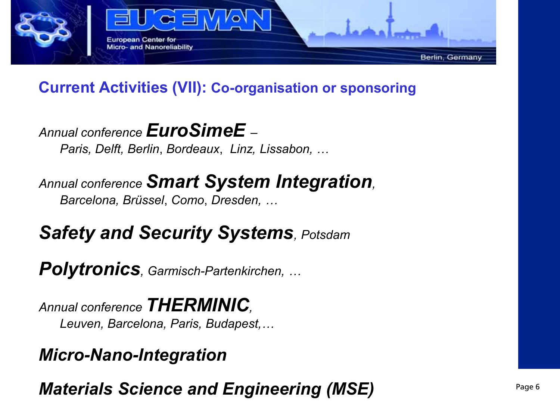

#### **Current Activities (VII): Co-organisation or sponsoring**

*Annual conference EuroSimeE –* 

*Paris, Delft, Berlin*, *Bordeaux*, *Linz, Lissabon, …*

*Annual conference Smart System Integration, Barcelona, Brüssel*, *Como*, *Dresden, …* 

*Safety and Security Systems, Potsdam* 

*Polytronics, Garmisch-Partenkirchen, …* 

*Annual conference THERMINIC, Leuven, Barcelona, Paris, Budapest,…* 

#### *Micro-Nano-Integration*

*Materials Science and Engineering (MSE)*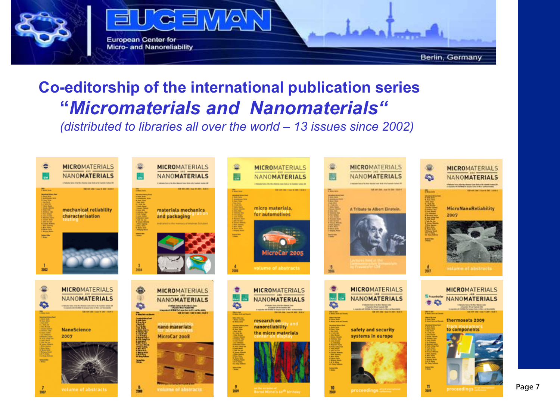

#### **Co-editorship of the international publication series "***Micromaterials and Nanomaterials"*

*(distributed to libraries all over the world – 13 issues since 2002)*

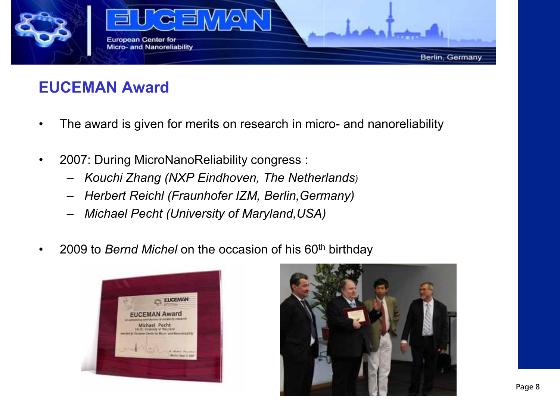

#### **EUCEMAN Award**

- The award is given for merits on research in micro- and nanoreliability
- 2007: During MicroNanoReliability congress :
	- *Kouchi Zhang (NXP Eindhoven, The Netherlands)*
	- *Herbert Reichl (Fraunhofer IZM, Berlin,Germany)*
	- *Michael Pecht (University of Maryland,USA)*
- 2009 to *Bernd Michel* on the occasion of his 60th birthday



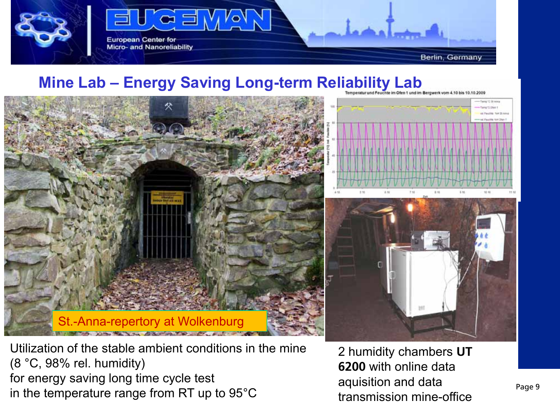

#### **Mine Lab – Energy Saving Long-term Reliability Lab**





werk vom 4.10 bis 10.10.2009

Utilization of the stable ambient conditions in the mine (8 °C, 98% rel. humidity) for energy saving long time cycle test in the temperature range from RT up to 95°C

2 humidity chambers **UT 6200** with online data aquisition and data transmission mine-office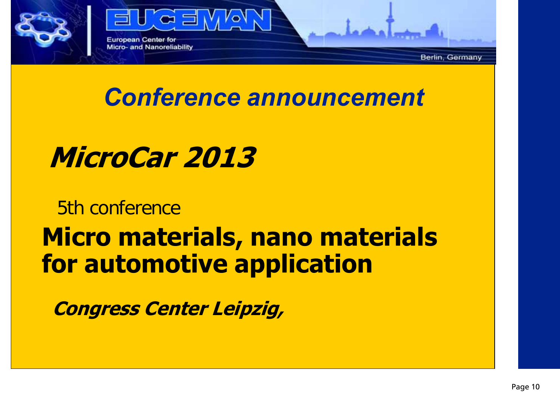

### *Conference announcement*

**MicroCar 2013**

#### 5th conference

## **Micro materials, nano materials for automotive application**

**Congress Center Leipzig,**